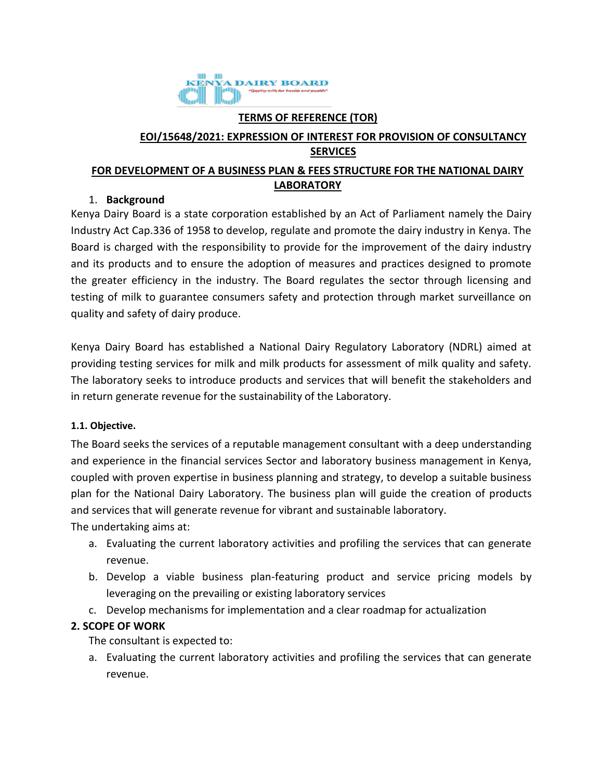

#### **TERMS OF REFERENCE (TOR)**

## **EOI/15648/2021: EXPRESSION OF INTEREST FOR PROVISION OF CONSULTANCY SERVICES**

## **FOR DEVELOPMENT OF A BUSINESS PLAN & FEES STRUCTURE FOR THE NATIONAL DAIRY LABORATORY**

### 1. **Background**

Kenya Dairy Board is a state corporation established by an Act of Parliament namely the Dairy Industry Act Cap.336 of 1958 to develop, regulate and promote the dairy industry in Kenya. The Board is charged with the responsibility to provide for the improvement of the dairy industry and its products and to ensure the adoption of measures and practices designed to promote the greater efficiency in the industry. The Board regulates the sector through licensing and testing of milk to guarantee consumers safety and protection through market surveillance on quality and safety of dairy produce.

Kenya Dairy Board has established a National Dairy Regulatory Laboratory (NDRL) aimed at providing testing services for milk and milk products for assessment of milk quality and safety. The laboratory seeks to introduce products and services that will benefit the stakeholders and in return generate revenue for the sustainability of the Laboratory.

### **1.1. Objective.**

The Board seeks the services of a reputable management consultant with a deep understanding and experience in the financial services Sector and laboratory business management in Kenya, coupled with proven expertise in business planning and strategy, to develop a suitable business plan for the National Dairy Laboratory. The business plan will guide the creation of products and services that will generate revenue for vibrant and sustainable laboratory.

The undertaking aims at:

- a. Evaluating the current laboratory activities and profiling the services that can generate revenue.
- b. Develop a viable business plan-featuring product and service pricing models by leveraging on the prevailing or existing laboratory services
- c. Develop mechanisms for implementation and a clear roadmap for actualization

### **2. SCOPE OF WORK**

The consultant is expected to:

a. Evaluating the current laboratory activities and profiling the services that can generate revenue.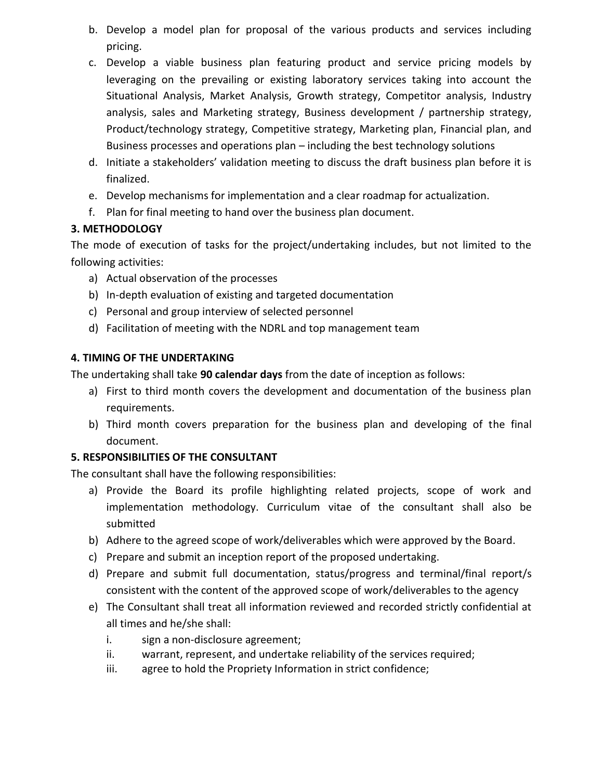- b. Develop a model plan for proposal of the various products and services including pricing.
- c. Develop a viable business plan featuring product and service pricing models by leveraging on the prevailing or existing laboratory services taking into account the Situational Analysis, Market Analysis, Growth strategy, Competitor analysis, Industry analysis, sales and Marketing strategy, Business development / partnership strategy, Product/technology strategy, Competitive strategy, Marketing plan, Financial plan, and Business processes and operations plan – including the best technology solutions
- d. Initiate a stakeholders' validation meeting to discuss the draft business plan before it is finalized.
- e. Develop mechanisms for implementation and a clear roadmap for actualization.
- f. Plan for final meeting to hand over the business plan document.

## **3. METHODOLOGY**

The mode of execution of tasks for the project/undertaking includes, but not limited to the following activities:

- a) Actual observation of the processes
- b) In-depth evaluation of existing and targeted documentation
- c) Personal and group interview of selected personnel
- d) Facilitation of meeting with the NDRL and top management team

# **4. TIMING OF THE UNDERTAKING**

The undertaking shall take **90 calendar days** from the date of inception as follows:

- a) First to third month covers the development and documentation of the business plan requirements.
- b) Third month covers preparation for the business plan and developing of the final document.

# **5. RESPONSIBILITIES OF THE CONSULTANT**

The consultant shall have the following responsibilities:

- a) Provide the Board its profile highlighting related projects, scope of work and implementation methodology. Curriculum vitae of the consultant shall also be submitted
- b) Adhere to the agreed scope of work/deliverables which were approved by the Board.
- c) Prepare and submit an inception report of the proposed undertaking.
- d) Prepare and submit full documentation, status/progress and terminal/final report/s consistent with the content of the approved scope of work/deliverables to the agency
- e) The Consultant shall treat all information reviewed and recorded strictly confidential at all times and he/she shall:
	- i. sign a non-disclosure agreement;
	- ii. warrant, represent, and undertake reliability of the services required;
	- iii. agree to hold the Propriety Information in strict confidence;